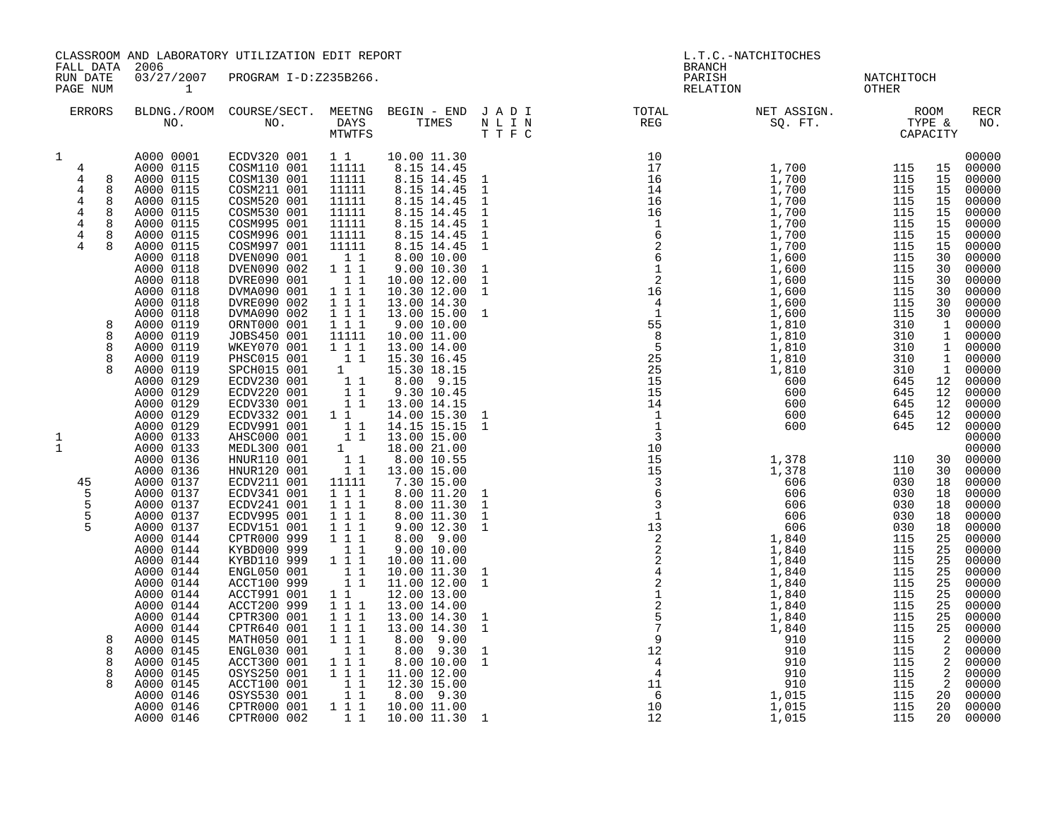| FALL DATA                                                                                                                                                                                                                                                        | 2006                                                                                                                                                                                                                                                                                                                                                                                                                                                                                                                                                                                                                                                                                | CLASSROOM AND LABORATORY UTILIZATION EDIT REPORT                                                                                                                                                                                                                                                                                                                                                                                                                                                                                                                                                                                                                                                                                                                                                 |                                                                                                                                                                                                                                                                                                                                                                                                                                                                                                                                                                                                                                                                                                                                                                                                                                                                                                                                                                                                                                                                                                                                                                                                                                                                                                                                                                                                                                                                                                                                                                                                                                                                             | L.T.C.-NATCHITOCHES<br><b>BRANCH</b>                                                                                                                                                                                                                                                                             |                                                                         |                     |                                                                                                                                                                                           |                                                                                                                                                                    |                                                                                                                                                                                                                                                                                                                                                                                                                                                                                                             |
|------------------------------------------------------------------------------------------------------------------------------------------------------------------------------------------------------------------------------------------------------------------|-------------------------------------------------------------------------------------------------------------------------------------------------------------------------------------------------------------------------------------------------------------------------------------------------------------------------------------------------------------------------------------------------------------------------------------------------------------------------------------------------------------------------------------------------------------------------------------------------------------------------------------------------------------------------------------|--------------------------------------------------------------------------------------------------------------------------------------------------------------------------------------------------------------------------------------------------------------------------------------------------------------------------------------------------------------------------------------------------------------------------------------------------------------------------------------------------------------------------------------------------------------------------------------------------------------------------------------------------------------------------------------------------------------------------------------------------------------------------------------------------|-----------------------------------------------------------------------------------------------------------------------------------------------------------------------------------------------------------------------------------------------------------------------------------------------------------------------------------------------------------------------------------------------------------------------------------------------------------------------------------------------------------------------------------------------------------------------------------------------------------------------------------------------------------------------------------------------------------------------------------------------------------------------------------------------------------------------------------------------------------------------------------------------------------------------------------------------------------------------------------------------------------------------------------------------------------------------------------------------------------------------------------------------------------------------------------------------------------------------------------------------------------------------------------------------------------------------------------------------------------------------------------------------------------------------------------------------------------------------------------------------------------------------------------------------------------------------------------------------------------------------------------------------------------------------------|------------------------------------------------------------------------------------------------------------------------------------------------------------------------------------------------------------------------------------------------------------------------------------------------------------------|-------------------------------------------------------------------------|---------------------|-------------------------------------------------------------------------------------------------------------------------------------------------------------------------------------------|--------------------------------------------------------------------------------------------------------------------------------------------------------------------|-------------------------------------------------------------------------------------------------------------------------------------------------------------------------------------------------------------------------------------------------------------------------------------------------------------------------------------------------------------------------------------------------------------------------------------------------------------------------------------------------------------|
| RUN DATE<br>PAGE NUM                                                                                                                                                                                                                                             | $\mathbf{1}$                                                                                                                                                                                                                                                                                                                                                                                                                                                                                                                                                                                                                                                                        | 03/27/2007 PROGRAM I-D:Z235B266.                                                                                                                                                                                                                                                                                                                                                                                                                                                                                                                                                                                                                                                                                                                                                                 |                                                                                                                                                                                                                                                                                                                                                                                                                                                                                                                                                                                                                                                                                                                                                                                                                                                                                                                                                                                                                                                                                                                                                                                                                                                                                                                                                                                                                                                                                                                                                                                                                                                                             |                                                                                                                                                                                                                                                                                                                  | PARISH<br>RELATION                                                      | NATCHITOCH<br>OTHER |                                                                                                                                                                                           |                                                                                                                                                                    |                                                                                                                                                                                                                                                                                                                                                                                                                                                                                                             |
| ERRORS                                                                                                                                                                                                                                                           | BLDNG./ROOM COURSE/SECT. MEETNG BEGIN – END JADI TOTAL MET ASSIGN. MET ASSIGN. ROOM ROOM NO. DAYS TIMES NLIN REG REG SQ. FT. TYPE &                                                                                                                                                                                                                                                                                                                                                                                                                                                                                                                                                 |                                                                                                                                                                                                                                                                                                                                                                                                                                                                                                                                                                                                                                                                                                                                                                                                  |                                                                                                                                                                                                                                                                                                                                                                                                                                                                                                                                                                                                                                                                                                                                                                                                                                                                                                                                                                                                                                                                                                                                                                                                                                                                                                                                                                                                                                                                                                                                                                                                                                                                             |                                                                                                                                                                                                                                                                                                                  |                                                                         |                     |                                                                                                                                                                                           |                                                                                                                                                                    | RECR<br>NO.                                                                                                                                                                                                                                                                                                                                                                                                                                                                                                 |
| $\mathbf 1$<br>4<br>$\overline{4}$<br>8<br>$\overline{4}$<br>8<br>4<br>8<br>$\overline{4}$<br>8<br>$\overline{4}$<br>8<br>$\overline{4}$<br>8<br>$\overline{4}$<br>8<br>8<br>8<br>8<br>8<br>1<br>$\mathbf{1}$<br>45<br>5<br>5<br>5<br>5<br>8<br>8<br>8<br>8<br>8 | A000 0001<br>A000 0115<br>A000 0115<br>A000 0115<br>A000 0115<br>A000 0115<br>A000 0115<br>A000 0115<br>A000 0115<br>A000 0118<br>A000 0118<br>A000 0118<br>A000 0118<br>A000 0118<br>A000 0118<br>A000 0119<br>A000 0119<br>A000 0119<br>A000 0119<br>A000 0119<br>A000 0129<br>A000 0129<br>A000 0129<br>A000 0129<br>A000 0129<br>A000 0133<br>A000 0133<br>A000 0136<br>A000 0136<br>A000 0137<br>A000 0137<br>A000 0137<br>A000 0137<br>A000 0137<br>A000 0144<br>A000 0144<br>A000 0144<br>A000 0144<br>A000 0144<br>A000 0144<br>A000 0144<br>A000 0144<br>A000 0144<br>A000 0145<br>A000 0145<br>A000 0145<br>A000 0145<br>A000 0145<br>A000 0146<br>A000 0146<br>A000 0146 | ECDV320 001 11<br>COSM110 001<br>COSM130 001<br>COSM211 001<br>COSM520 001<br>COSM530 001<br>COSM995 001<br>COSM996 001<br>COSM997 001<br>DVEN090 001<br>DVEN090 002<br>DVRE090 001<br>DVMA090 001<br>DVRE090 002<br>DVMA090 002<br>ORNT000 001<br>JOBS450 001<br>WKEY070 001<br>PHSC015 001<br>SPCH015 001<br>ECDV230 001<br>ECDV220 001<br>ECDV330 001<br>ECDV332 001 1 1<br>ECDV991 001<br>AHSC000 001<br>MEDL300 001<br>HNUR110 001<br>HNUR120 001<br>ECDV211 001<br>ECDV341 001<br>ECDV241 001<br>ECDV995 001<br>ECDV151 001<br>CPTR000 999<br>KYBD000 999<br>KYBD110 999<br>ENGL050 001<br>ACCT100 999<br>ACCT991 001<br>ACCT200 999<br>CPTR300 001<br>CPTR640 001<br>MATH050 001<br>ENGL030 001<br>ACCT300 001<br>08YS250 001<br>ACCT100 001<br>08YS530 001<br>CPTR000 001<br>CPTR000 002 | 10.00 11.30<br>11111<br>8.15 14.45<br>11111<br>8.15 14.45 1<br>8.15 14.45 1<br>11111<br>11111<br>8.15 14.45<br>11111<br>8.15 14.45<br>11111<br>8.15 14.45<br>11111<br>8.15 14.45<br>11111<br>8.15 14.45<br>11<br>8.00 10.00<br>$1 1 1$<br>9.00 10.30<br>11<br>10.00 12.00<br>111<br>10.30 12.00<br>$\overline{1}$ $\overline{1}$ $\overline{1}$<br>13.00 14.30<br>111<br>13.00 15.00<br>$\overline{1}$ $\overline{1}$ $\overline{1}$<br>9.0010.00<br>11111<br>10.00 11.00<br>111<br>13.00 14.00<br>11<br>15.30 16.45<br>$\begin{array}{c} 1 \\ 1 \\ 1 \\ 1 \\ 1 \\ \end{array}$<br>15.30 18.15<br>8.00 9.15<br>9.30 10.45<br>13.00 14.15<br>14.00 15.30<br>$\begin{array}{rrrr} 1 & 1 & 14.15 & 15.15 \\ 1 & 1 & 13.00 & 15.00 \end{array}$<br>14.15 15.15<br>1<br>18.00 21.00<br>$\begin{array}{c} \begin{array}{c} 1 & 1 \\ 1 & 1 \end{array} \end{array}$<br>8.00 10.55<br>13.00 15.00<br>11111<br>7.30 15.00<br>$1\ 1\ 1$<br>8.00 11.20<br>1 1 1<br>8.00 11.30<br>$1 1 1$<br>8.00 11.30<br>$\overline{1}$ $\overline{1}$ $\overline{1}$<br>9.00 12.30<br>$1\ 1\ 1$<br>8.00 9.00<br>$\overline{1}$<br>9.00 10.00<br>1 1 1<br>10.00 11.00<br>$\begin{array}{rrr} & 1 & 1 \\ & 1 & 1 \\ & & 1 & 1 \end{array}$<br>10.00 11.30<br>11.00 12.00<br>$\begin{array}{cccc}\n1 & 1 \\ 1 & 1 & 1\n\end{array}$<br>12.00 13.00<br>13.00 14.00<br>$1 1 1$<br>13.00 14.30<br>$1 1 1$<br>13.00 14.30<br>$1 1 1$<br>8.00 9.00<br>$\begin{array}{rrrr} & 1 & 1 \\ & 1 & 1 \\ & 1 & 1 \\ & 1 & 1 \end{array}$<br>8.00 9.30<br>8.00 10.00<br>11.00 12.00<br>$\begin{array}{ccc} & 1 & 1 \\ & 1 & 1 \end{array}$<br>12.30 15.00<br>8.00 9.30<br>$1 1 1$<br>10.00 11.00<br>1 1 10.00 11.30 1 | $\mathbf{1}$<br>$\,$ 1<br>$\mathbf{1}$<br>$\mathbf{1}$<br>$\mathbf{1}$<br>$\mathbf{1}$<br>$\mathbf{1}$<br>$\mathbf{1}$<br>$\mathbf{1}$<br>$\mathbf{1}$<br>$\mathbf{1}$<br>$\mathbf{1}$<br>$\mathbf{1}$<br>$\mathbf{1}$<br>$\mathbf{1}$<br>1<br>$\mathbf{1}$<br>1<br>$\mathbf{1}$<br>$\mathbf{1}$<br>$\mathbf{1}$ | $\begin{array}{c} 12 \\ 4 \\ 4 \\ 11 \\ 6 \\ 6 \\ 10 \\ 12 \end{array}$ | 1,015               | 645<br>645<br>645<br>110<br>110<br>030<br>030<br>030<br>030<br>030<br>115<br>115<br>115<br>115<br>115<br>115<br>115<br>115<br>115<br>115<br>115<br>115<br>115<br>115<br>115<br>115<br>115 | 12<br>12<br>12<br>18<br>18<br>18<br>18<br>18<br>25<br>25<br>25<br>25<br>25<br>25<br>25<br>25<br>$\frac{25}{2}$<br>$\frac{2}{2}$<br>$\overline{a}$<br>2<br>20<br>20 | 00000<br>00000<br>00000<br>00000<br>00000<br>00000<br>00000<br>$00000$<br>$00000$<br>00000<br>$00000$<br>$00000$<br>$00000$<br>00000<br>30 00000<br>1 00000<br>1 00000<br>1 00000<br>1 00000<br>00000<br>$00000$<br>00000<br>00000<br>00000<br>$00000$<br>00000<br>00000<br>30 00000<br>30 00000<br>00000<br>00000<br>00000<br>00000<br>00000<br>00000<br>00000<br>00000<br>00000<br>00000<br>00000<br>00000<br>$00000$<br>00000<br>00000<br>00000<br>00000<br>00000<br>00000<br>00000<br>00000<br>20 00000 |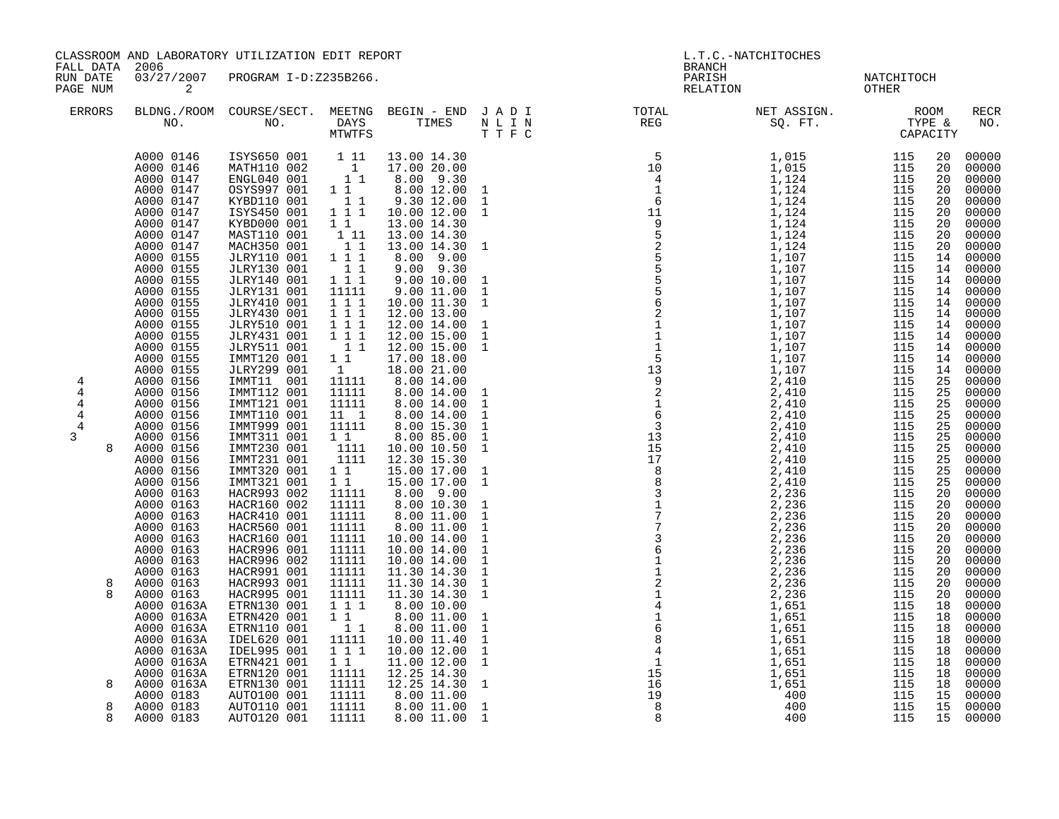| FALL DATA 2006                                 | CLASSROOM AND LABORATORY UTILIZATION EDIT REPORT                                                                                                                                                                                                                                                                                                                                                                                                                                                                                                                                                                                                                               |                                                                                                                                                                                                                                                                                                                                                                                                                                                                                                                                                                                                                                                                                                                                                                                                     |                                                                                                                                                                                                                                                                                                                                                                                                                                                                                    |                                                                                                                                                                                                                                                                                                                                                                                                                                                                                                                                                                                                                                                                                                                                                      |  | L.T.C.-NATCHITOCHES<br>BRANCH                                                                                                                                                                                                                                                                                                                                                                                                        |                    |                     |                                                                                                                                                                                                                                                                                                          |                                                                                                                                                                                                                                                                                                                                                                                                                                                                  |
|------------------------------------------------|--------------------------------------------------------------------------------------------------------------------------------------------------------------------------------------------------------------------------------------------------------------------------------------------------------------------------------------------------------------------------------------------------------------------------------------------------------------------------------------------------------------------------------------------------------------------------------------------------------------------------------------------------------------------------------|-----------------------------------------------------------------------------------------------------------------------------------------------------------------------------------------------------------------------------------------------------------------------------------------------------------------------------------------------------------------------------------------------------------------------------------------------------------------------------------------------------------------------------------------------------------------------------------------------------------------------------------------------------------------------------------------------------------------------------------------------------------------------------------------------------|------------------------------------------------------------------------------------------------------------------------------------------------------------------------------------------------------------------------------------------------------------------------------------------------------------------------------------------------------------------------------------------------------------------------------------------------------------------------------------|------------------------------------------------------------------------------------------------------------------------------------------------------------------------------------------------------------------------------------------------------------------------------------------------------------------------------------------------------------------------------------------------------------------------------------------------------------------------------------------------------------------------------------------------------------------------------------------------------------------------------------------------------------------------------------------------------------------------------------------------------|--|--------------------------------------------------------------------------------------------------------------------------------------------------------------------------------------------------------------------------------------------------------------------------------------------------------------------------------------------------------------------------------------------------------------------------------------|--------------------|---------------------|----------------------------------------------------------------------------------------------------------------------------------------------------------------------------------------------------------------------------------------------------------------------------------------------------------|------------------------------------------------------------------------------------------------------------------------------------------------------------------------------------------------------------------------------------------------------------------------------------------------------------------------------------------------------------------------------------------------------------------------------------------------------------------|
| RUN DATE<br>PAGE NUM                           | 03/27/2007<br>$\overline{a}$                                                                                                                                                                                                                                                                                                                                                                                                                                                                                                                                                                                                                                                   | PROGRAM I-D:Z235B266.                                                                                                                                                                                                                                                                                                                                                                                                                                                                                                                                                                                                                                                                                                                                                                               |                                                                                                                                                                                                                                                                                                                                                                                                                                                                                    |                                                                                                                                                                                                                                                                                                                                                                                                                                                                                                                                                                                                                                                                                                                                                      |  | PARISH                                                                                                                                                                                                                                                                                                                                                                                                                               | PARISH<br>RELATION | NATCHITOCH<br>OTHER |                                                                                                                                                                                                                                                                                                          |                                                                                                                                                                                                                                                                                                                                                                                                                                                                  |
| <b>ERRORS</b>                                  |                                                                                                                                                                                                                                                                                                                                                                                                                                                                                                                                                                                                                                                                                |                                                                                                                                                                                                                                                                                                                                                                                                                                                                                                                                                                                                                                                                                                                                                                                                     |                                                                                                                                                                                                                                                                                                                                                                                                                                                                                    |                                                                                                                                                                                                                                                                                                                                                                                                                                                                                                                                                                                                                                                                                                                                                      |  | BLDNG./ROOM COURSE/SECT. MEETNG BEGIN – END JADI TOTAL NET ASSIGN. NET ASSIGN. ROOM NO. DAYS TIMES NLIN REG SQ.FT. TYPE &                                                                                                                                                                                                                                                                                                            |                    |                     |                                                                                                                                                                                                                                                                                                          | <b>RECR</b><br>NO.                                                                                                                                                                                                                                                                                                                                                                                                                                               |
| 4<br>4<br>4<br>4<br>4<br>3<br>8<br>8<br>8<br>8 | A000 0146<br>A000 0146<br>A000 0147<br>A000 0147<br>A000 0147<br>A000 0147<br>A000 0147<br>A000 0147<br>A000 0147<br>A000 0155<br>A000 0155<br>A000 0155<br>A000 0155<br>A000 0155<br>A000 0155<br>A000 0155<br>A000 0155<br>A000 0155<br>A000 0155<br>A000 0155<br>A000 0156<br>A000 0156<br>A000 0156<br>A000 0156<br>A000 0156<br>A000 0156<br>A000 0156<br>A000 0156<br>A000 0156<br>A000 0156<br>A000 0163<br>A000 0163<br>A000 0163<br>A000 0163<br>A000 0163<br>A000 0163<br>A000 0163<br>A000 0163<br>A000 0163<br>A000 0163<br>A000 0163A<br>A000 0163A<br>A000 0163A<br>A000 0163A<br>A000 0163A<br>A000 0163A<br>A000 0163A<br>A000 0163A<br>A000 0183<br>A000 0183 | ISYS650 001 1 11<br>MATH110 002<br>ENGL040 001<br>OSYS997 001 11<br>KYBD110 001<br>ISYS450 001<br>KYBD000 001<br>MAST110 001<br>MACH350 001<br>JLRY110 001 111<br><b>JLRY130 001</b><br>JLRY140 001<br>JLRY131 001<br>JLRY410 001<br>JLRY430 001<br><b>JLRY510 001</b><br>JLRY431 001<br>JLRY511 001<br>IMMT120 001<br>JLRY299 001<br>IMMT11 001<br>IMMT112 001<br>IMMT121 001<br>IMMT110 001<br>IMMT999 001<br>IMMT311 001<br>IMMT230 001<br>IMMT231 001<br>IMMT320 001<br>IMMT321 001<br>HACR993 002<br>HACR160 002<br>HACR410 001<br>HACR560 001<br>HACR160 001<br>HACR996 001<br>HACR996 002<br>HACR991 001<br>HACR993 001<br>HACR995 001<br>ETRN130 001<br>ETRN420 001<br>ETRN110 001<br>IDEL620 001<br>IDEL995 001<br>ETRN421 001<br>ETRN120 001<br>ETRN130 001<br>AUTO100 001<br>AUTO110 001 | $\begin{array}{c} 1 \\ 1 \\ 1 \end{array}$<br>11<br>$1 1 1$<br>$1\quad1$<br>111<br>11<br>$1\quad1$<br>$1 1 1$<br>11111<br>111<br>111<br>$1 1 1$<br>111<br>$1\quad1$<br>$1\quad1$<br>1<br>11111<br>11111<br>11111<br>$11 \quad 1$<br>11111<br>11<br>1111<br>1111<br>$1\quad1$<br>$1\quad1$<br>11111<br>11111<br>11111<br>11111<br>11111<br>11111<br>11111<br>11111<br>11111<br>11111<br>$1 1 1$<br>$1\quad1$<br>11<br>11111<br>111<br>$1\quad1$<br>11111<br>11111<br>11111<br>11111 | 13.00 14.30<br>17.00 20.00<br>8.00 9.30<br>8.00 12.00 1<br>9.30 12.00<br>10.00 12.00<br>13.00 14.30<br>13.00 14.30<br>13.00 14.30<br>8.00 9.00<br>$9.00$ $9.30$<br>9.0010.00<br>9.0011.00<br>10.00 11.30<br>12.00 13.00<br>12.00 14.00<br>12.00 15.00<br>12.00 15.00<br>17.00 18.00<br>18.00 21.00<br>8.00 14.00<br>8.00 14.00<br>8.00 14.00<br>8.00 14.00<br>8.00 15.30<br>8.00 85.00<br>10.00 10.50<br>12.30 15.30<br>15.00 17.00<br>15.00 17.00<br>8.00 9.00<br>8.00 10.30<br>8.00 11.00<br>8.00 11.00<br>10.00 14.00<br>10.00 14.00<br>10.00 14.00<br>11.30 14.30<br>11.30 14.30<br>11.30 14.30<br>8.00 10.00<br>8.00 11.00<br>8.00 11.00<br>10.00 11.40<br>10.00 12.00<br>11.00 12.00<br>12.25 14.30<br>12.25 14.30<br>8.00 11.00<br>8.00 11.00 |  | $\begin{smallmatrix} \text{R} & \text{R} & \text{R} & \text{R} & \text{R} & \text{R} & \text{R} \\ \text{R} & \text{R} & \text{R} & \text{R} & \text{R} & \text{R} \\ \text{R} & \text{R} & \text{R} & \text{R} & \text{R} \\ \text{R} & \text{R} & \text{R} & \text{R} & \text{R} \\ \text{R} & \text{R} & \text{R} & \text{R} & \text{R} \\ \text{R} & \text{R} & \text{R} & \text{R} & \text{R} \\ \text{R} & \text{R} & \text{R$ |                    |                     | 20<br>20<br>20<br>20<br>20<br>20<br>20<br>20<br>20<br>14<br>14<br>14<br>14<br>14<br>14<br>14<br>14<br>14<br>14<br>14<br>25<br>25<br>25<br>25<br>25<br>25<br>25<br>25<br>25<br>25<br>20<br>20<br>20<br>20<br>20<br>20<br>20<br>20<br>20<br>20<br>18<br>18<br>18<br>18<br>18<br>18<br>18<br>18<br>15<br>15 | 00000<br>00000<br>00000<br>00000<br>00000<br>$00000$<br>00000<br>00000<br>00000<br>00000<br>00000<br>00000<br>00000<br>00000<br>00000<br>00000<br>00000<br>00000<br>00000<br>00000<br>00000<br>00000<br>00000<br>00000<br>00000<br>00000<br>00000<br>00000<br>00000<br>00000<br>00000<br>00000<br>00000<br>00000<br>00000<br>00000<br>00000<br>00000<br>00000<br>00000<br>00000<br>00000<br>00000<br>00000<br>00000<br>00000<br>00000<br>00000<br>00000<br>00000 |
| 8                                              | A000 0183                                                                                                                                                                                                                                                                                                                                                                                                                                                                                                                                                                                                                                                                      | AUTO120 001                                                                                                                                                                                                                                                                                                                                                                                                                                                                                                                                                                                                                                                                                                                                                                                         | 11111                                                                                                                                                                                                                                                                                                                                                                                                                                                                              | 8.00 11.00 1                                                                                                                                                                                                                                                                                                                                                                                                                                                                                                                                                                                                                                                                                                                                         |  |                                                                                                                                                                                                                                                                                                                                                                                                                                      |                    |                     |                                                                                                                                                                                                                                                                                                          | 15 00000                                                                                                                                                                                                                                                                                                                                                                                                                                                         |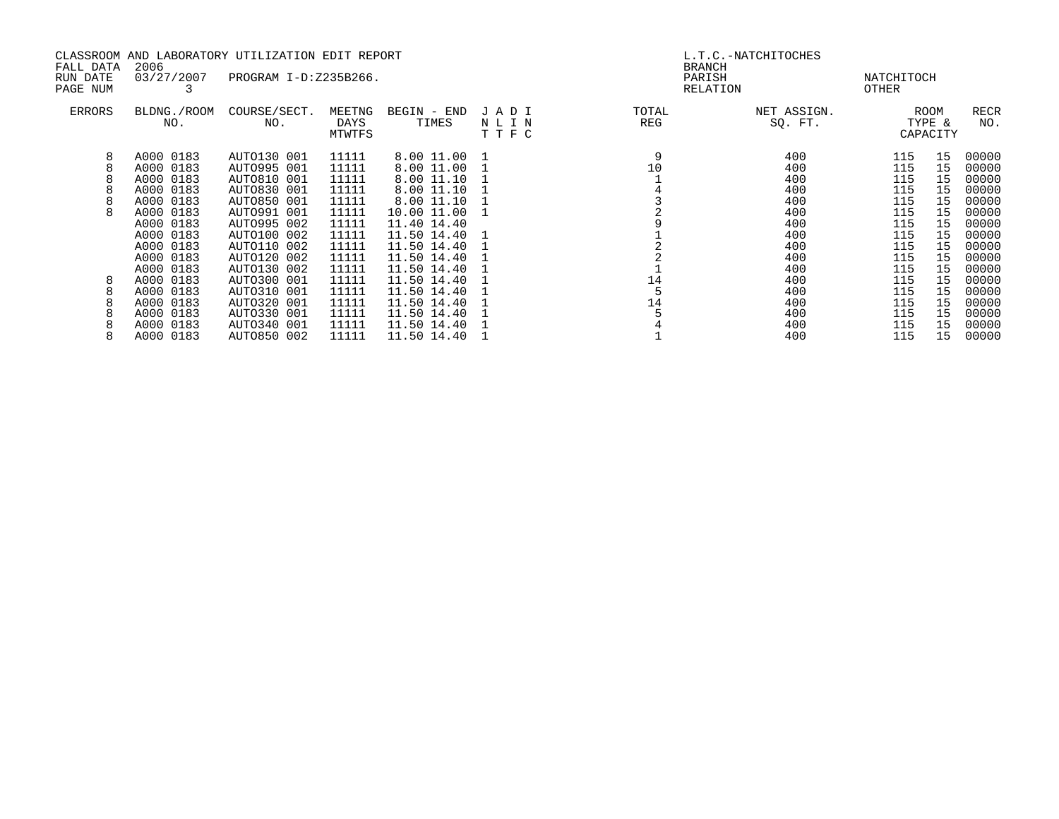| CLASSROOM AND LABORATORY UTILIZATION EDIT REPORT |                    |                       |                          |                      | L.T.C.-NATCHITOCHES  |                                     |                        |                     |                            |             |
|--------------------------------------------------|--------------------|-----------------------|--------------------------|----------------------|----------------------|-------------------------------------|------------------------|---------------------|----------------------------|-------------|
| FALL DATA<br>RUN DATE<br>PAGE NUM                | 2006<br>03/27/2007 | PROGRAM I-D:Z235B266. |                          |                      |                      | <b>BRANCH</b><br>PARISH<br>RELATION |                        | NATCHITOCH<br>OTHER |                            |             |
| ERRORS                                           | BLDNG./ROOM<br>NO. | COURSE/SECT.<br>NO.   | MEETNG<br>DAYS<br>MTWTFS | BEGIN - END<br>TIMES | JADI<br>NLIN<br>TTFC | TOTAL<br>REG                        | NET ASSIGN.<br>SQ. FT. |                     | ROOM<br>TYPE &<br>CAPACITY | RECR<br>NO. |
| 8                                                | A000 0183          | AUTO130 001           | 11111                    | 8.00 11.00           |                      |                                     | 400                    | 115                 | 15                         | 00000       |
|                                                  | A000 0183          | AUTO995 001           | 11111                    | 8.00 11.00           |                      | 10                                  | 400                    | 115                 | 15                         | 00000       |
|                                                  | A000 0183          | AUTO810 001           | 11111                    | 8.00 11.10           |                      |                                     | 400                    | 115                 | 15                         | 00000       |
|                                                  | A000 0183          | AUTO830 001           | 11111                    | 8.00 11.10           |                      |                                     | 400                    | 115                 | 15                         | 00000       |
|                                                  | A000 0183          | AUTO850 001           | 11111                    | 8.00 11.10           |                      |                                     | 400                    | 115                 | 15                         | 00000       |
|                                                  | A000 0183          | AUTO991 001           | 11111                    | 10.00 11.00          |                      |                                     | 400                    | 115                 | 15                         | 00000       |
|                                                  | A000 0183          | AUTO995 002           | 11111                    | 11.40 14.40          |                      |                                     | 400                    | 115                 | 15                         | 00000       |
|                                                  | A000 0183          | AUTO100 002           | 11111                    | 11.50 14.40          |                      |                                     | 400                    | 115                 | 15                         | 00000       |
|                                                  | A000 0183          | AUTO110 002           | 11111                    | 11.50 14.40          |                      |                                     | 400                    | 115                 | 15                         | 00000       |
|                                                  | A000 0183          | AUTO120 002           | 11111                    | 11.50 14.40          |                      |                                     | 400                    | 115                 | 15                         | 00000       |
|                                                  | A000 0183          | AUTO130 002           | 11111                    | 11.50 14.40          |                      |                                     | 400                    | 115                 | 15                         | 00000       |
| 8                                                | A000 0183          | AUTO300 001           | 11111                    | 11.50 14.40          |                      | 14                                  | 400                    | 115                 | 15                         | 00000       |
|                                                  | A000 0183          | AUTO310 001           | 11111                    | 11.50 14.40          |                      |                                     | 400                    | 115                 | 15                         | 00000       |
|                                                  | A000 0183          | AUTO320 001           | 11111                    | 11.50 14.40          |                      | 14                                  | 400                    | 115                 | 15                         | 00000       |
|                                                  | A000 0183          | AUTO330 001           | 11111                    | 11.50 14.40          |                      |                                     | 400                    | 115                 | 15                         | 00000       |
|                                                  | A000 0183          | AUTO340 001           | 11111                    | 11.50 14.40          |                      |                                     | 400                    | 115                 | 15                         | 00000       |
|                                                  | A000 0183          | AUTO850 002           | 11111                    | 11.50 14.40          |                      |                                     | 400                    | 115                 | 15                         | 00000       |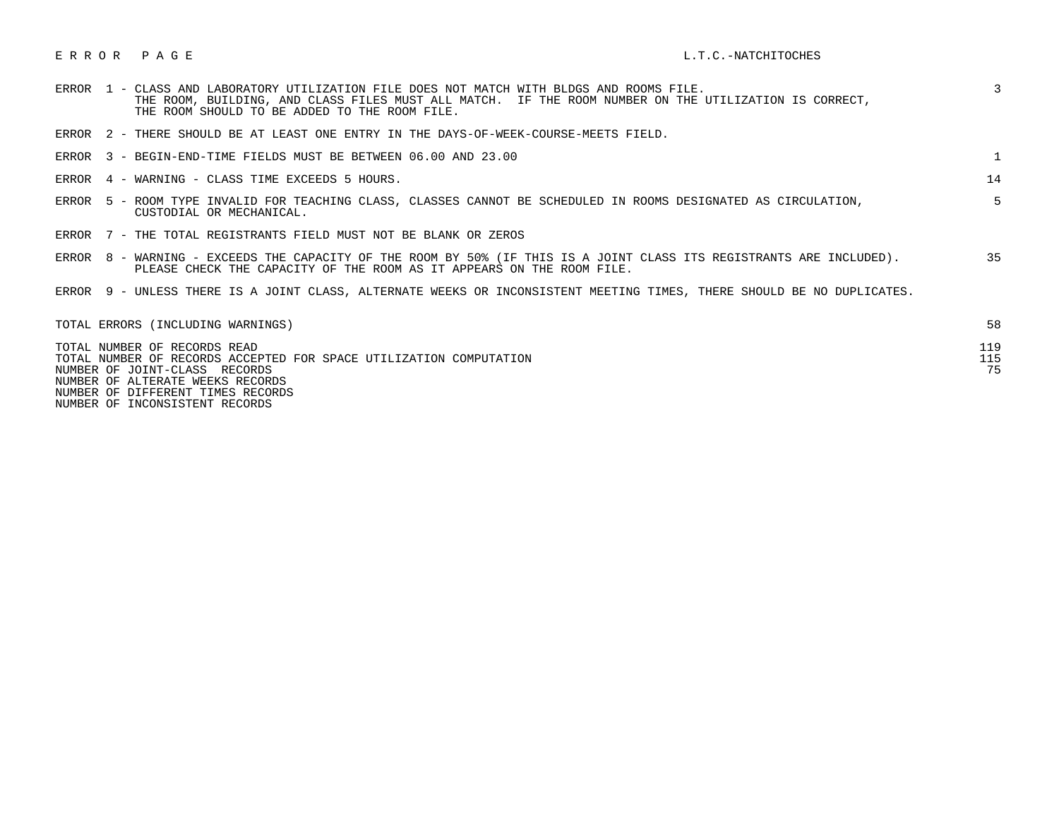## E R R O R P A G E L.T.C. - NATCHITOCHES

|       | ERROR   1 - CLASS AND LABORATORY UTILIZATION FILE DOES NOT MATCH WITH BLDGS AND ROOMS FILE.<br>THE ROOM, BUILDING, AND CLASS FILES MUST ALL MATCH. IF THE ROOM NUMBER ON THE UTILIZATION IS CORRECT,<br>THE ROOM SHOULD TO BE ADDED TO THE ROOM FILE. | 3          |
|-------|-------------------------------------------------------------------------------------------------------------------------------------------------------------------------------------------------------------------------------------------------------|------------|
| ERROR | 2 - THERE SHOULD BE AT LEAST ONE ENTRY IN THE DAYS-OF-WEEK-COURSE-MEETS FIELD.                                                                                                                                                                        |            |
|       | ERROR 3 - BEGIN-END-TIME FIELDS MUST BE BETWEEN 06.00 AND 23.00                                                                                                                                                                                       |            |
|       | ERROR 4 - WARNING - CLASS TIME EXCEEDS 5 HOURS.                                                                                                                                                                                                       | 14         |
|       | ERROR 5 - ROOM TYPE INVALID FOR TEACHING CLASS, CLASSES CANNOT BE SCHEDULED IN ROOMS DESIGNATED AS CIRCULATION,<br>CUSTODIAL OR MECHANICAL.                                                                                                           | $5 -$      |
|       | ERROR 7 - THE TOTAL REGISTRANTS FIELD MUST NOT BE BLANK OR ZEROS                                                                                                                                                                                      |            |
|       | ERROR 8 - WARNING - EXCEEDS THE CAPACITY OF THE ROOM BY 50% (IF THIS IS A JOINT CLASS ITS REGISTRANTS ARE INCLUDED).<br>PLEASE CHECK THE CAPACITY OF THE ROOM AS IT APPEARS ON THE ROOM FILE.                                                         | 35         |
|       | ERROR 9 - UNLESS THERE IS A JOINT CLASS, ALTERNATE WEEKS OR INCONSISTENT MEETING TIMES, THERE SHOULD BE NO DUPLICATES.                                                                                                                                |            |
|       | TOTAL ERRORS (INCLUDING WARNINGS)                                                                                                                                                                                                                     | 58         |
|       | TOTAL NUMBER OF RECORDS READ<br>TOTAL NUMBER OF RECORDS ACCEPTED FOR SPACE UTILIZATION COMPUTATION                                                                                                                                                    | 119<br>115 |

NUMBER OF JOINT-CLASS RECORDS 75

 NUMBER OF ALTERATE WEEKS RECORDS NUMBER OF DIFFERENT TIMES RECORDS

NUMBER OF INCONSISTENT RECORDS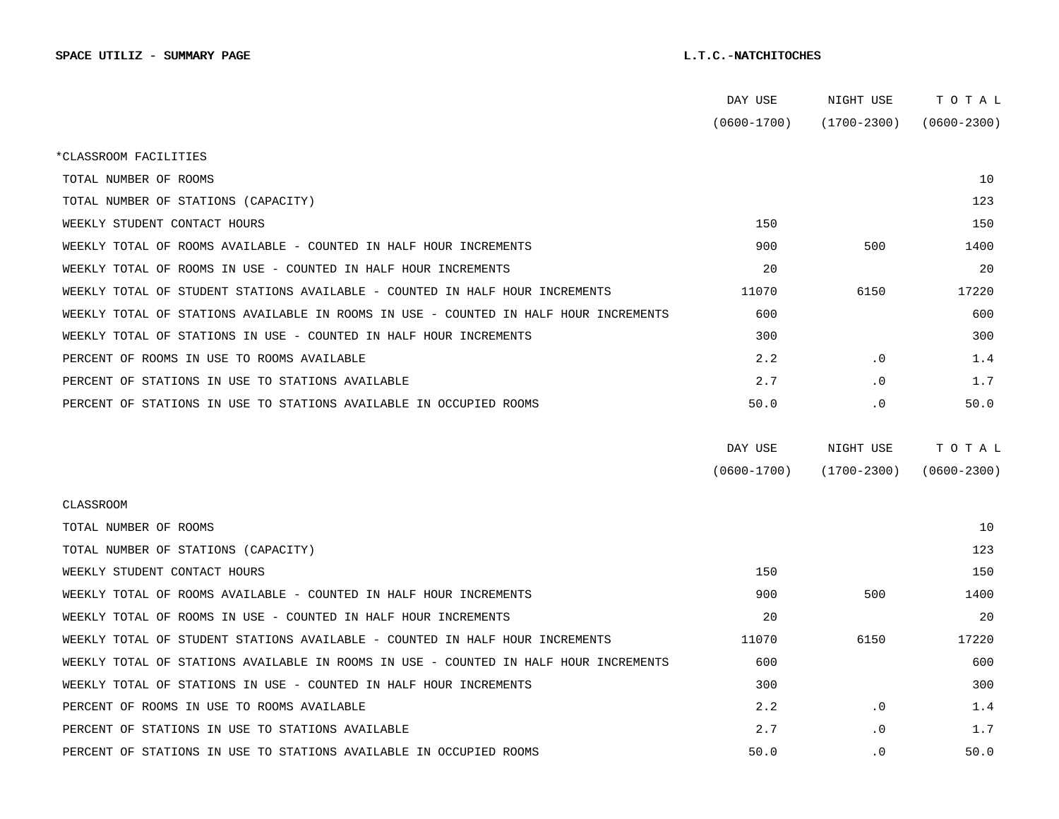|                                                                                      | DAY USE         | NIGHT USE       | TOTAL           |
|--------------------------------------------------------------------------------------|-----------------|-----------------|-----------------|
|                                                                                      | $(0600 - 1700)$ | $(1700 - 2300)$ | $(0600 - 2300)$ |
| *CLASSROOM FACILITIES                                                                |                 |                 |                 |
| TOTAL NUMBER OF ROOMS                                                                |                 |                 | 10              |
| TOTAL NUMBER OF STATIONS (CAPACITY)                                                  |                 |                 | 123             |
| WEEKLY STUDENT CONTACT HOURS                                                         | 150             |                 | 150             |
| WEEKLY TOTAL OF ROOMS AVAILABLE - COUNTED IN HALF HOUR INCREMENTS                    | 900             | 500             | 1400            |
| WEEKLY TOTAL OF ROOMS IN USE - COUNTED IN HALF HOUR INCREMENTS                       | 20              |                 | 20              |
| WEEKLY TOTAL OF STUDENT STATIONS AVAILABLE - COUNTED IN HALF HOUR INCREMENTS         | 11070           | 6150            | 17220           |
| WEEKLY TOTAL OF STATIONS AVAILABLE IN ROOMS IN USE - COUNTED IN HALF HOUR INCREMENTS | 600             |                 | 600             |
| WEEKLY TOTAL OF STATIONS IN USE - COUNTED IN HALF HOUR INCREMENTS                    | 300             |                 | 300             |
| PERCENT OF ROOMS IN USE TO ROOMS AVAILABLE                                           | 2.2             | $\cdot$ 0       | 1.4             |
| PERCENT OF STATIONS IN USE TO STATIONS AVAILABLE                                     | 2.7             | $\cdot$ 0       | 1.7             |
| PERCENT OF STATIONS IN USE TO STATIONS AVAILABLE IN OCCUPIED ROOMS                   | 50.0            | $\cdot$ 0       | 50.0            |
|                                                                                      |                 |                 |                 |
|                                                                                      | DAY USE         | NIGHT USE       | TOTAL           |
|                                                                                      | $(0600 - 1700)$ | $(1700 - 2300)$ | $(0600 - 2300)$ |
| CLASSROOM                                                                            |                 |                 |                 |
| TOTAL NUMBER OF ROOMS                                                                |                 |                 | 10              |
| TOTAL NUMBER OF STATIONS (CAPACITY)                                                  |                 |                 | 123             |
| WEEKLY STUDENT CONTACT HOURS                                                         | 150             |                 | 150             |
| WEEKLY TOTAL OF ROOMS AVAILABLE - COUNTED IN HALF HOUR INCREMENTS                    | 900             | 500             | 1400            |
| WEEKLY TOTAL OF ROOMS IN USE - COUNTED IN HALF HOUR INCREMENTS                       | 20              |                 | 20              |
| WEEKLY TOTAL OF STUDENT STATIONS AVAILABLE - COUNTED IN HALF HOUR INCREMENTS         | 11070           | 6150            | 17220           |
| WEEKLY TOTAL OF STATIONS AVAILABLE IN ROOMS IN USE - COUNTED IN HALF HOUR INCREMENTS | 600             |                 | 600             |
| WEEKLY TOTAL OF STATIONS IN USE - COUNTED IN HALF HOUR INCREMENTS                    | 300             |                 | 300             |
| PERCENT OF ROOMS IN USE TO ROOMS AVAILABLE                                           | 2.2             | $\cdot$ 0       | 1.4             |
| PERCENT OF STATIONS IN USE TO STATIONS AVAILABLE                                     | 2.7             | $\cdot$ 0       | 1.7             |
| PERCENT OF STATIONS IN USE TO STATIONS AVAILABLE IN OCCUPIED ROOMS                   | 50.0            | $\cdot$ 0       | 50.0            |